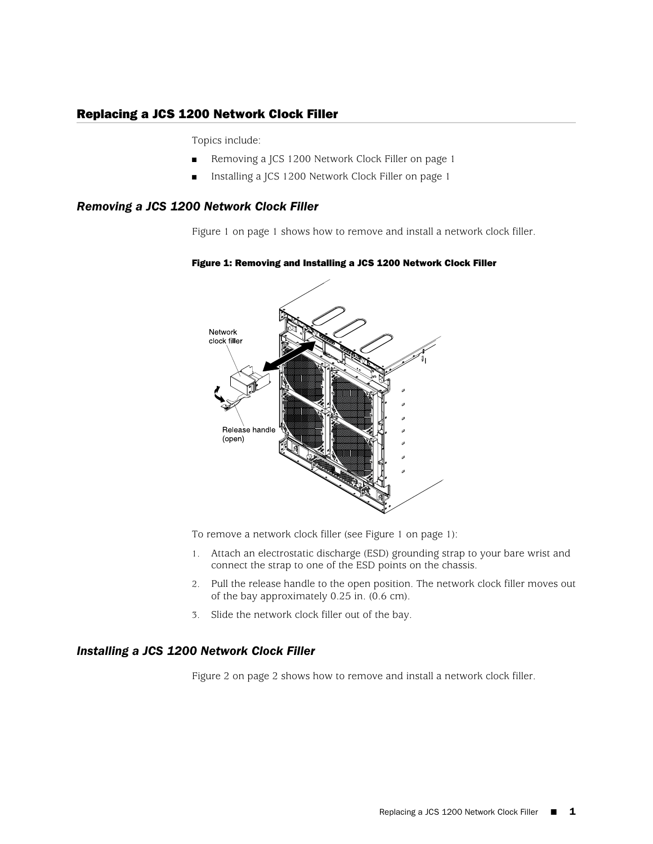## Replacing a JCS 1200 Network Clock Filler

Topics include:

- [Removing a JCS 1200 Network Clock Filler on page 1](#page-0-0)
- [Installing a JCS 1200 Network Clock Filler on page 1](#page-0-1)

## <span id="page-0-0"></span>*Removing a JCS 1200 Network Clock Filler*

<span id="page-0-2"></span>[Figure 1 on page 1](#page-0-2) shows how to remove and install a network clock filler.



## Figure 1: Removing and Installing a JCS 1200 Network Clock Filler

To remove a network clock filler (see [Figure 1 on page 1\)](#page-0-2):

- 1. Attach an electrostatic discharge (ESD) grounding strap to your bare wrist and connect the strap to one of the ESD points on the chassis.
- 2. Pull the release handle to the open position. The network clock filler moves out of the bay approximately 0.25 in. (0.6 cm).
- 3. Slide the network clock filler out of the bay.

## <span id="page-0-1"></span>*Installing a JCS 1200 Network Clock Filler*

[Figure 2 on page 2](#page-1-0) shows how to remove and install a network clock filler.